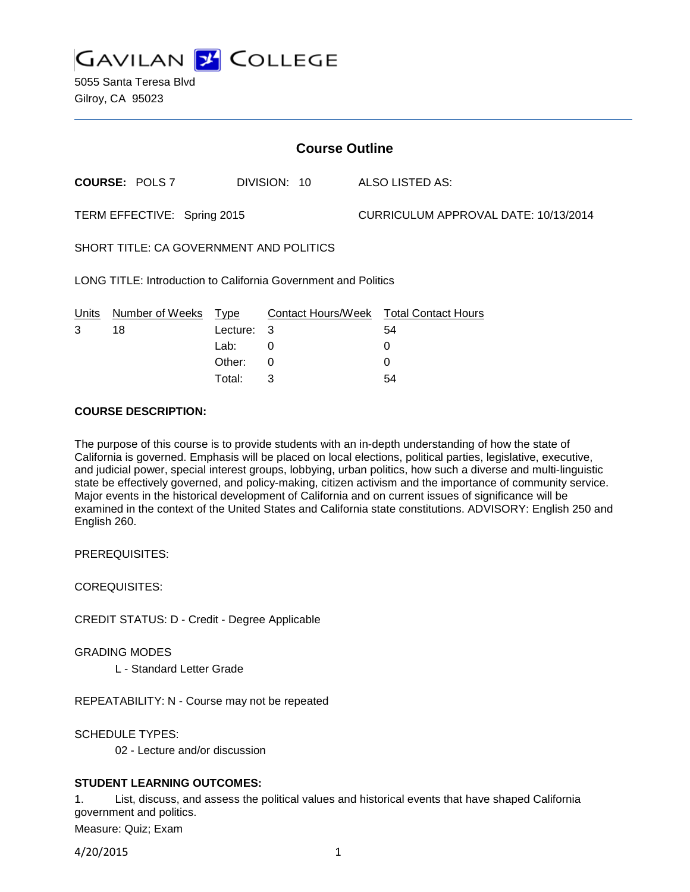

5055 Santa Teresa Blvd Gilroy, CA 95023

| <b>Course Outline</b>                                          |                       |             |                    |                                      |                            |
|----------------------------------------------------------------|-----------------------|-------------|--------------------|--------------------------------------|----------------------------|
|                                                                | <b>COURSE: POLS 7</b> |             | DIVISION: 10       |                                      | ALSO LISTED AS:            |
| TERM EFFECTIVE: Spring 2015                                    |                       |             |                    | CURRICULUM APPROVAL DATE: 10/13/2014 |                            |
| SHORT TITLE: CA GOVERNMENT AND POLITICS                        |                       |             |                    |                                      |                            |
| LONG TITLE: Introduction to California Government and Politics |                       |             |                    |                                      |                            |
| Units                                                          | Number of Weeks       | <u>Type</u> | Contact Hours/Week |                                      | <b>Total Contact Hours</b> |
| 3                                                              | 18                    | Lecture:    | 3                  |                                      | 54                         |
|                                                                |                       | Lab:        | 0                  |                                      | 0                          |
|                                                                |                       | Other:      | 0                  |                                      | 0                          |
|                                                                |                       | Total:      | 3                  |                                      | 54                         |

# **COURSE DESCRIPTION:**

The purpose of this course is to provide students with an in-depth understanding of how the state of California is governed. Emphasis will be placed on local elections, political parties, legislative, executive, and judicial power, special interest groups, lobbying, urban politics, how such a diverse and multi-linguistic state be effectively governed, and policy-making, citizen activism and the importance of community service. Major events in the historical development of California and on current issues of significance will be examined in the context of the United States and California state constitutions. ADVISORY: English 250 and English 260.

PREREQUISITES:

COREQUISITES:

CREDIT STATUS: D - Credit - Degree Applicable

GRADING MODES

L - Standard Letter Grade

REPEATABILITY: N - Course may not be repeated

SCHEDULE TYPES:

02 - Lecture and/or discussion

#### **STUDENT LEARNING OUTCOMES:**

1. List, discuss, and assess the political values and historical events that have shaped California government and politics.

Measure: Quiz; Exam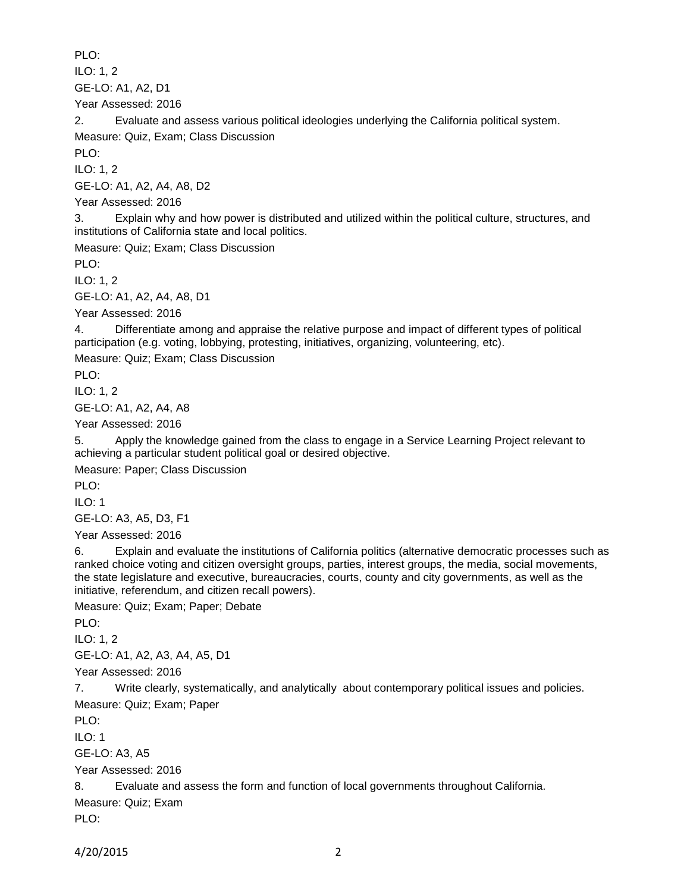PLO:

ILO: 1, 2

GE-LO: A1, A2, D1

Year Assessed: 2016

2. Evaluate and assess various political ideologies underlying the California political system.

Measure: Quiz, Exam; Class Discussion

PLO:

ILO: 1, 2

GE-LO: A1, A2, A4, A8, D2

Year Assessed: 2016

3. Explain why and how power is distributed and utilized within the political culture, structures, and institutions of California state and local politics.

Measure: Quiz; Exam; Class Discussion

PLO:

ILO: 1, 2

GE-LO: A1, A2, A4, A8, D1

Year Assessed: 2016

4. Differentiate among and appraise the relative purpose and impact of different types of political participation (e.g. voting, lobbying, protesting, initiatives, organizing, volunteering, etc).

Measure: Quiz; Exam; Class Discussion

PLO:

ILO: 1, 2

GE-LO: A1, A2, A4, A8

Year Assessed: 2016

5. Apply the knowledge gained from the class to engage in a Service Learning Project relevant to achieving a particular student political goal or desired objective.

Measure: Paper; Class Discussion

PLO:

ILO: 1

GE-LO: A3, A5, D3, F1

Year Assessed: 2016

6. Explain and evaluate the institutions of California politics (alternative democratic processes such as ranked choice voting and citizen oversight groups, parties, interest groups, the media, social movements, the state legislature and executive, bureaucracies, courts, county and city governments, as well as the initiative, referendum, and citizen recall powers).

Measure: Quiz; Exam; Paper; Debate

PLO:

ILO: 1, 2

GE-LO: A1, A2, A3, A4, A5, D1

Year Assessed: 2016

7. Write clearly, systematically, and analytically about contemporary political issues and policies.

Measure: Quiz; Exam; Paper

PLO:

ILO: 1

GE-LO: A3, A5

Year Assessed: 2016

8. Evaluate and assess the form and function of local governments throughout California.

Measure: Quiz; Exam

PLO: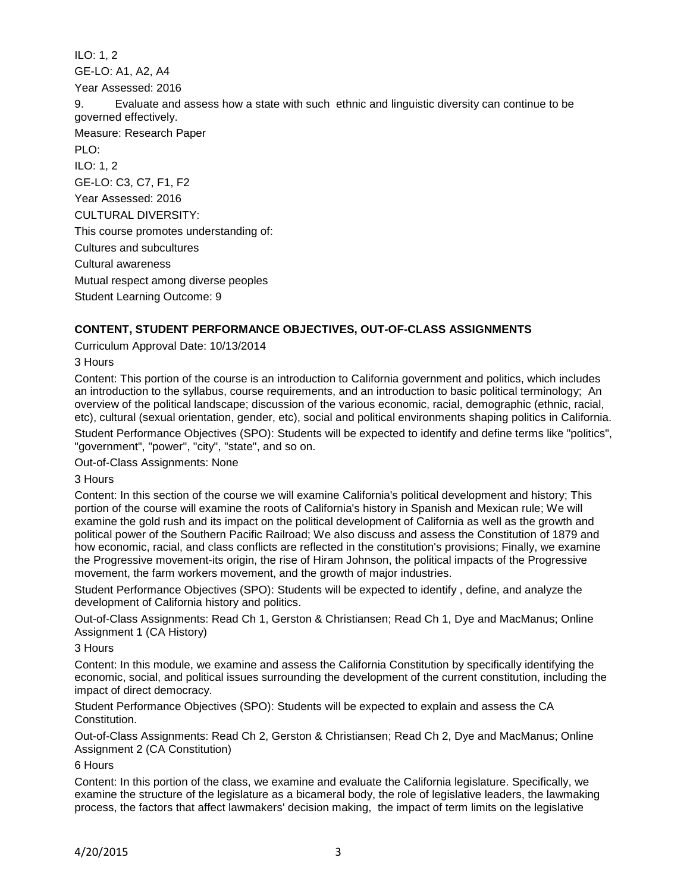ILO: 1, 2 GE-LO: A1, A2, A4 Year Assessed: 2016 9. Evaluate and assess how a state with such ethnic and linguistic diversity can continue to be governed effectively. Measure: Research Paper PLO: ILO: 1, 2 GE-LO: C3, C7, F1, F2 Year Assessed: 2016 CULTURAL DIVERSITY: This course promotes understanding of: Cultures and subcultures Cultural awareness Mutual respect among diverse peoples Student Learning Outcome: 9

# **CONTENT, STUDENT PERFORMANCE OBJECTIVES, OUT-OF-CLASS ASSIGNMENTS**

Curriculum Approval Date: 10/13/2014

3 Hours

Content: This portion of the course is an introduction to California government and politics, which includes an introduction to the syllabus, course requirements, and an introduction to basic political terminology; An overview of the political landscape; discussion of the various economic, racial, demographic (ethnic, racial, etc), cultural (sexual orientation, gender, etc), social and political environments shaping politics in California. Student Performance Objectives (SPO): Students will be expected to identify and define terms like "politics",

"government", "power", "city", "state", and so on.

Out-of-Class Assignments: None

3 Hours

Content: In this section of the course we will examine California's political development and history; This portion of the course will examine the roots of California's history in Spanish and Mexican rule; We will examine the gold rush and its impact on the political development of California as well as the growth and political power of the Southern Pacific Railroad; We also discuss and assess the Constitution of 1879 and how economic, racial, and class conflicts are reflected in the constitution's provisions; Finally, we examine the Progressive movement-its origin, the rise of Hiram Johnson, the political impacts of the Progressive movement, the farm workers movement, and the growth of major industries.

Student Performance Objectives (SPO): Students will be expected to identify , define, and analyze the development of California history and politics.

Out-of-Class Assignments: Read Ch 1, Gerston & Christiansen; Read Ch 1, Dye and MacManus; Online Assignment 1 (CA History)

3 Hours

Content: In this module, we examine and assess the California Constitution by specifically identifying the economic, social, and political issues surrounding the development of the current constitution, including the impact of direct democracy.

Student Performance Objectives (SPO): Students will be expected to explain and assess the CA Constitution.

Out-of-Class Assignments: Read Ch 2, Gerston & Christiansen; Read Ch 2, Dye and MacManus; Online Assignment 2 (CA Constitution)

6 Hours

Content: In this portion of the class, we examine and evaluate the California legislature. Specifically, we examine the structure of the legislature as a bicameral body, the role of legislative leaders, the lawmaking process, the factors that affect lawmakers' decision making, the impact of term limits on the legislative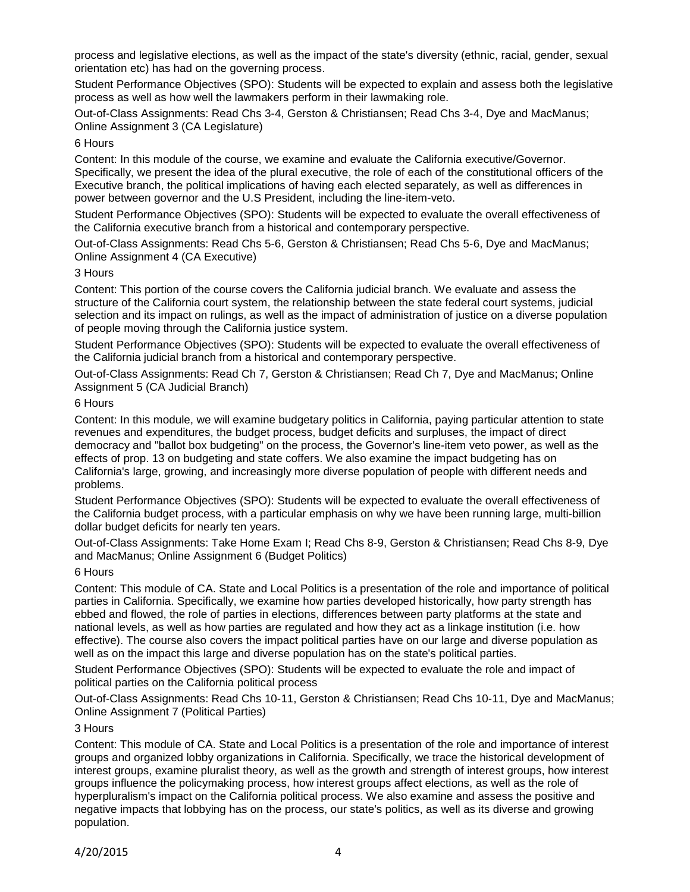process and legislative elections, as well as the impact of the state's diversity (ethnic, racial, gender, sexual orientation etc) has had on the governing process.

Student Performance Objectives (SPO): Students will be expected to explain and assess both the legislative process as well as how well the lawmakers perform in their lawmaking role.

Out-of-Class Assignments: Read Chs 3-4, Gerston & Christiansen; Read Chs 3-4, Dye and MacManus; Online Assignment 3 (CA Legislature)

6 Hours

Content: In this module of the course, we examine and evaluate the California executive/Governor. Specifically, we present the idea of the plural executive, the role of each of the constitutional officers of the Executive branch, the political implications of having each elected separately, as well as differences in power between governor and the U.S President, including the line-item-veto.

Student Performance Objectives (SPO): Students will be expected to evaluate the overall effectiveness of the California executive branch from a historical and contemporary perspective.

Out-of-Class Assignments: Read Chs 5-6, Gerston & Christiansen; Read Chs 5-6, Dye and MacManus; Online Assignment 4 (CA Executive)

3 Hours

Content: This portion of the course covers the California judicial branch. We evaluate and assess the structure of the California court system, the relationship between the state federal court systems, judicial selection and its impact on rulings, as well as the impact of administration of justice on a diverse population of people moving through the California justice system.

Student Performance Objectives (SPO): Students will be expected to evaluate the overall effectiveness of the California judicial branch from a historical and contemporary perspective.

Out-of-Class Assignments: Read Ch 7, Gerston & Christiansen; Read Ch 7, Dye and MacManus; Online Assignment 5 (CA Judicial Branch)

6 Hours

Content: In this module, we will examine budgetary politics in California, paying particular attention to state revenues and expenditures, the budget process, budget deficits and surpluses, the impact of direct democracy and "ballot box budgeting" on the process, the Governor's line-item veto power, as well as the effects of prop. 13 on budgeting and state coffers. We also examine the impact budgeting has on California's large, growing, and increasingly more diverse population of people with different needs and problems.

Student Performance Objectives (SPO): Students will be expected to evaluate the overall effectiveness of the California budget process, with a particular emphasis on why we have been running large, multi-billion dollar budget deficits for nearly ten years.

Out-of-Class Assignments: Take Home Exam I; Read Chs 8-9, Gerston & Christiansen; Read Chs 8-9, Dye and MacManus; Online Assignment 6 (Budget Politics)

6 Hours

Content: This module of CA. State and Local Politics is a presentation of the role and importance of political parties in California. Specifically, we examine how parties developed historically, how party strength has ebbed and flowed, the role of parties in elections, differences between party platforms at the state and national levels, as well as how parties are regulated and how they act as a linkage institution (i.e. how effective). The course also covers the impact political parties have on our large and diverse population as well as on the impact this large and diverse population has on the state's political parties.

Student Performance Objectives (SPO): Students will be expected to evaluate the role and impact of political parties on the California political process

Out-of-Class Assignments: Read Chs 10-11, Gerston & Christiansen; Read Chs 10-11, Dye and MacManus; Online Assignment 7 (Political Parties)

# 3 Hours

Content: This module of CA. State and Local Politics is a presentation of the role and importance of interest groups and organized lobby organizations in California. Specifically, we trace the historical development of interest groups, examine pluralist theory, as well as the growth and strength of interest groups, how interest groups influence the policymaking process, how interest groups affect elections, as well as the role of hyperpluralism's impact on the California political process. We also examine and assess the positive and negative impacts that lobbying has on the process, our state's politics, as well as its diverse and growing population.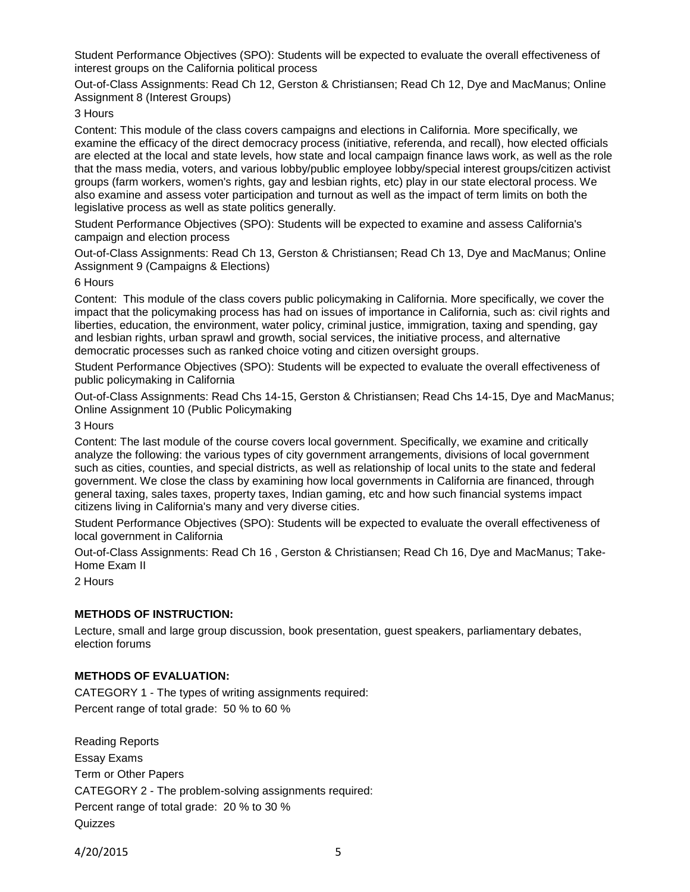Student Performance Objectives (SPO): Students will be expected to evaluate the overall effectiveness of interest groups on the California political process

Out-of-Class Assignments: Read Ch 12, Gerston & Christiansen; Read Ch 12, Dye and MacManus; Online Assignment 8 (Interest Groups)

## 3 Hours

Content: This module of the class covers campaigns and elections in California. More specifically, we examine the efficacy of the direct democracy process (initiative, referenda, and recall), how elected officials are elected at the local and state levels, how state and local campaign finance laws work, as well as the role that the mass media, voters, and various lobby/public employee lobby/special interest groups/citizen activist groups (farm workers, women's rights, gay and lesbian rights, etc) play in our state electoral process. We also examine and assess voter participation and turnout as well as the impact of term limits on both the legislative process as well as state politics generally.

Student Performance Objectives (SPO): Students will be expected to examine and assess California's campaign and election process

Out-of-Class Assignments: Read Ch 13, Gerston & Christiansen; Read Ch 13, Dye and MacManus; Online Assignment 9 (Campaigns & Elections)

#### 6 Hours

Content: This module of the class covers public policymaking in California. More specifically, we cover the impact that the policymaking process has had on issues of importance in California, such as: civil rights and liberties, education, the environment, water policy, criminal justice, immigration, taxing and spending, gay and lesbian rights, urban sprawl and growth, social services, the initiative process, and alternative democratic processes such as ranked choice voting and citizen oversight groups.

Student Performance Objectives (SPO): Students will be expected to evaluate the overall effectiveness of public policymaking in California

Out-of-Class Assignments: Read Chs 14-15, Gerston & Christiansen; Read Chs 14-15, Dye and MacManus; Online Assignment 10 (Public Policymaking

## 3 Hours

Content: The last module of the course covers local government. Specifically, we examine and critically analyze the following: the various types of city government arrangements, divisions of local government such as cities, counties, and special districts, as well as relationship of local units to the state and federal government. We close the class by examining how local governments in California are financed, through general taxing, sales taxes, property taxes, Indian gaming, etc and how such financial systems impact citizens living in California's many and very diverse cities.

Student Performance Objectives (SPO): Students will be expected to evaluate the overall effectiveness of local government in California

Out-of-Class Assignments: Read Ch 16 , Gerston & Christiansen; Read Ch 16, Dye and MacManus; Take-Home Exam II

2 Hours

## **METHODS OF INSTRUCTION:**

Lecture, small and large group discussion, book presentation, guest speakers, parliamentary debates, election forums

## **METHODS OF EVALUATION:**

CATEGORY 1 - The types of writing assignments required: Percent range of total grade: 50 % to 60 %

Reading Reports Essay Exams Term or Other Papers CATEGORY 2 - The problem-solving assignments required: Percent range of total grade: 20 % to 30 % **Quizzes**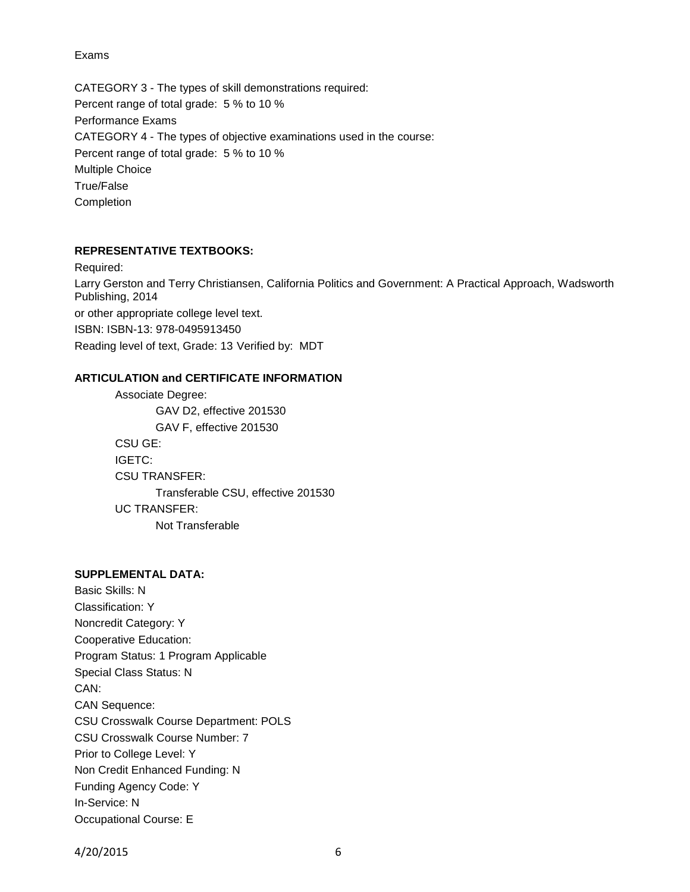Exams

CATEGORY 3 - The types of skill demonstrations required: Percent range of total grade: 5 % to 10 % Performance Exams CATEGORY 4 - The types of objective examinations used in the course: Percent range of total grade: 5 % to 10 % Multiple Choice True/False Completion

## **REPRESENTATIVE TEXTBOOKS:**

Required: Larry Gerston and Terry Christiansen, California Politics and Government: A Practical Approach, Wadsworth Publishing, 2014 or other appropriate college level text. ISBN: ISBN-13: 978-0495913450 Reading level of text, Grade: 13 Verified by: MDT

## **ARTICULATION and CERTIFICATE INFORMATION**

Associate Degree: GAV D2, effective 201530 GAV F, effective 201530 CSU GE: IGETC: CSU TRANSFER: Transferable CSU, effective 201530 UC TRANSFER: Not Transferable

#### **SUPPLEMENTAL DATA:**

Basic Skills: N Classification: Y Noncredit Category: Y Cooperative Education: Program Status: 1 Program Applicable Special Class Status: N CAN: CAN Sequence: CSU Crosswalk Course Department: POLS CSU Crosswalk Course Number: 7 Prior to College Level: Y Non Credit Enhanced Funding: N Funding Agency Code: Y In-Service: N Occupational Course: E